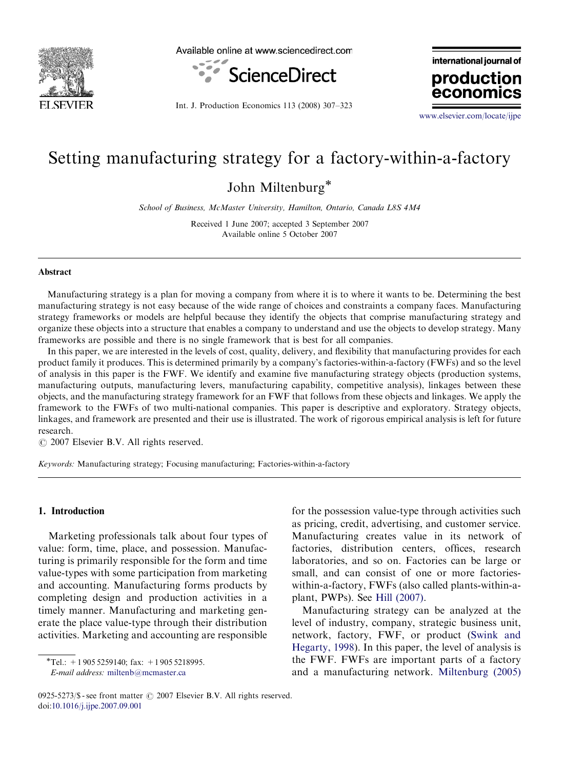

Available online at www.sciencedirect.com



Int. J. Production Economics 113 (2008) 307–323

international journal of production econon

<www.elsevier.com/locate/ijpe>

# Setting manufacturing strategy for a factory-within-a-factory

John Miltenburg\*

School of Business, McMaster University, Hamilton, Ontario, Canada L8S 4M4

Received 1 June 2007; accepted 3 September 2007 Available online 5 October 2007

#### Abstract

Manufacturing strategy is a plan for moving a company from where it is to where it wants to be. Determining the best manufacturing strategy is not easy because of the wide range of choices and constraints a company faces. Manufacturing strategy frameworks or models are helpful because they identify the objects that comprise manufacturing strategy and organize these objects into a structure that enables a company to understand and use the objects to develop strategy. Many frameworks are possible and there is no single framework that is best for all companies.

In this paper, we are interested in the levels of cost, quality, delivery, and flexibility that manufacturing provides for each product family it produces. This is determined primarily by a company's factories-within-a-factory (FWFs) and so the level of analysis in this paper is the FWF. We identify and examine five manufacturing strategy objects (production systems, manufacturing outputs, manufacturing levers, manufacturing capability, competitive analysis), linkages between these objects, and the manufacturing strategy framework for an FWF that follows from these objects and linkages. We apply the framework to the FWFs of two multi-national companies. This paper is descriptive and exploratory. Strategy objects, linkages, and framework are presented and their use is illustrated. The work of rigorous empirical analysis is left for future research.

 $O$  2007 Elsevier B.V. All rights reserved.

Keywords: Manufacturing strategy; Focusing manufacturing; Factories-within-a-factory

#### 1. Introduction

Marketing professionals talk about four types of value: form, time, place, and possession. Manufacturing is primarily responsible for the form and time value-types with some participation from marketing and accounting. Manufacturing forms products by completing design and production activities in a timely manner. Manufacturing and marketing generate the place value-type through their distribution activities. Marketing and accounting are responsible

 $\overline{T}$ el.: +1 905 5259140; fax: +1 905 5218995.

E-mail address: [miltenb@mcmaster.ca](mailto:miltenb@mcmaster.ca)

for the possession value-type through activities such as pricing, credit, advertising, and customer service. Manufacturing creates value in its network of factories, distribution centers, offices, research laboratories, and so on. Factories can be large or small, and can consist of one or more factorieswithin-a-factory, FWFs (also called plants-within-aplant, PWPs). See [Hill \(2007\).](#page--1-0)

Manufacturing strategy can be analyzed at the level of industry, company, strategic business unit, network, factory, FWF, or product ([Swink and](#page--1-0) [Hegarty, 1998](#page--1-0)). In this paper, the level of analysis is the FWF. FWFs are important parts of a factory and a manufacturing network. [Miltenburg \(2005\)](#page--1-0)

<sup>0925-5273/\$ -</sup> see front matter  $\odot$  2007 Elsevier B.V. All rights reserved. doi:[10.1016/j.ijpe.2007.09.001](dx.doi.org/10.1016/j.ijpe.2007.09.001)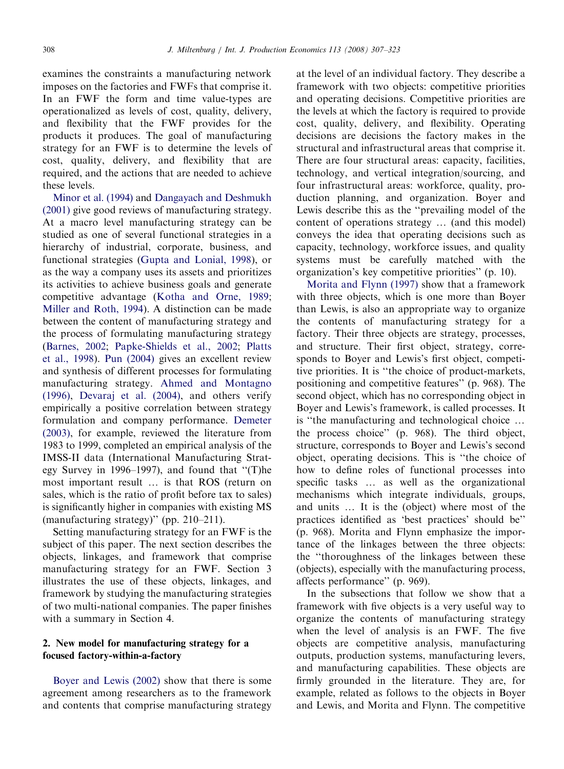examines the constraints a manufacturing network imposes on the factories and FWFs that comprise it. In an FWF the form and time value-types are operationalized as levels of cost, quality, delivery, and flexibility that the FWF provides for the products it produces. The goal of manufacturing strategy for an FWF is to determine the levels of cost, quality, delivery, and flexibility that are required, and the actions that are needed to achieve these levels.

[Minor et al. \(1994\)](#page--1-0) and [Dangayach and Deshmukh](#page--1-0) [\(2001\)](#page--1-0) give good reviews of manufacturing strategy. At a macro level manufacturing strategy can be studied as one of several functional strategies in a hierarchy of industrial, corporate, business, and functional strategies ([Gupta and Lonial, 1998\)](#page--1-0), or as the way a company uses its assets and prioritizes its activities to achieve business goals and generate competitive advantage [\(Kotha and Orne, 1989;](#page--1-0) [Miller and Roth, 1994](#page--1-0)). A distinction can be made between the content of manufacturing strategy and the process of formulating manufacturing strategy ([Barnes, 2002](#page--1-0); [Papke-Shields et al., 2002](#page--1-0); [Platts](#page--1-0) [et al., 1998\)](#page--1-0). [Pun \(2004\)](#page--1-0) gives an excellent review and synthesis of different processes for formulating manufacturing strategy. [Ahmed and Montagno](#page--1-0) [\(1996\),](#page--1-0) [Devaraj et al. \(2004\)](#page--1-0), and others verify empirically a positive correlation between strategy formulation and company performance. [Demeter](#page--1-0) [\(2003\),](#page--1-0) for example, reviewed the literature from 1983 to 1999, completed an empirical analysis of the IMSS-II data (International Manufacturing Strategy Survey in 1996–1997), and found that ''(T)he most important result  $\ldots$  is that ROS (return on sales, which is the ratio of profit before tax to sales) is significantly higher in companies with existing MS (manufacturing strategy)'' (pp. 210–211).

Setting manufacturing strategy for an FWF is the subject of this paper. The next section describes the objects, linkages, and framework that comprise manufacturing strategy for an FWF. Section 3 illustrates the use of these objects, linkages, and framework by studying the manufacturing strategies of two multi-national companies. The paper finishes with a summary in Section 4.

### 2. New model for manufacturing strategy for a focused factory-within-a-factory

[Boyer and Lewis \(2002\)](#page--1-0) show that there is some agreement among researchers as to the framework and contents that comprise manufacturing strategy at the level of an individual factory. They describe a framework with two objects: competitive priorities and operating decisions. Competitive priorities are the levels at which the factory is required to provide cost, quality, delivery, and flexibility. Operating decisions are decisions the factory makes in the structural and infrastructural areas that comprise it. There are four structural areas: capacity, facilities, technology, and vertical integration/sourcing, and four infrastructural areas: workforce, quality, production planning, and organization. Boyer and Lewis describe this as the ''prevailing model of the content of operations strategy  $\ldots$  (and this model) conveys the idea that operating decisions such as capacity, technology, workforce issues, and quality systems must be carefully matched with the organization's key competitive priorities'' (p. 10).

[Morita and Flynn \(1997\)](#page--1-0) show that a framework with three objects, which is one more than Boyer than Lewis, is also an appropriate way to organize the contents of manufacturing strategy for a factory. Their three objects are strategy, processes, and structure. Their first object, strategy, corresponds to Boyer and Lewis's first object, competitive priorities. It is ''the choice of product-markets, positioning and competitive features'' (p. 968). The second object, which has no corresponding object in Boyer and Lewis's framework, is called processes. It is "the manufacturing and technological choice ... the process choice'' (p. 968). The third object, structure, corresponds to Boyer and Lewis's second object, operating decisions. This is ''the choice of how to define roles of functional processes into specific tasks ... as well as the organizational mechanisms which integrate individuals, groups, and units  $\ldots$  It is the (object) where most of the practices identified as 'best practices' should be'' (p. 968). Morita and Flynn emphasize the importance of the linkages between the three objects: the ''thoroughness of the linkages between these (objects), especially with the manufacturing process, affects performance'' (p. 969).

In the subsections that follow we show that a framework with five objects is a very useful way to organize the contents of manufacturing strategy when the level of analysis is an FWF. The five objects are competitive analysis, manufacturing outputs, production systems, manufacturing levers, and manufacturing capabilities. These objects are firmly grounded in the literature. They are, for example, related as follows to the objects in Boyer and Lewis, and Morita and Flynn. The competitive